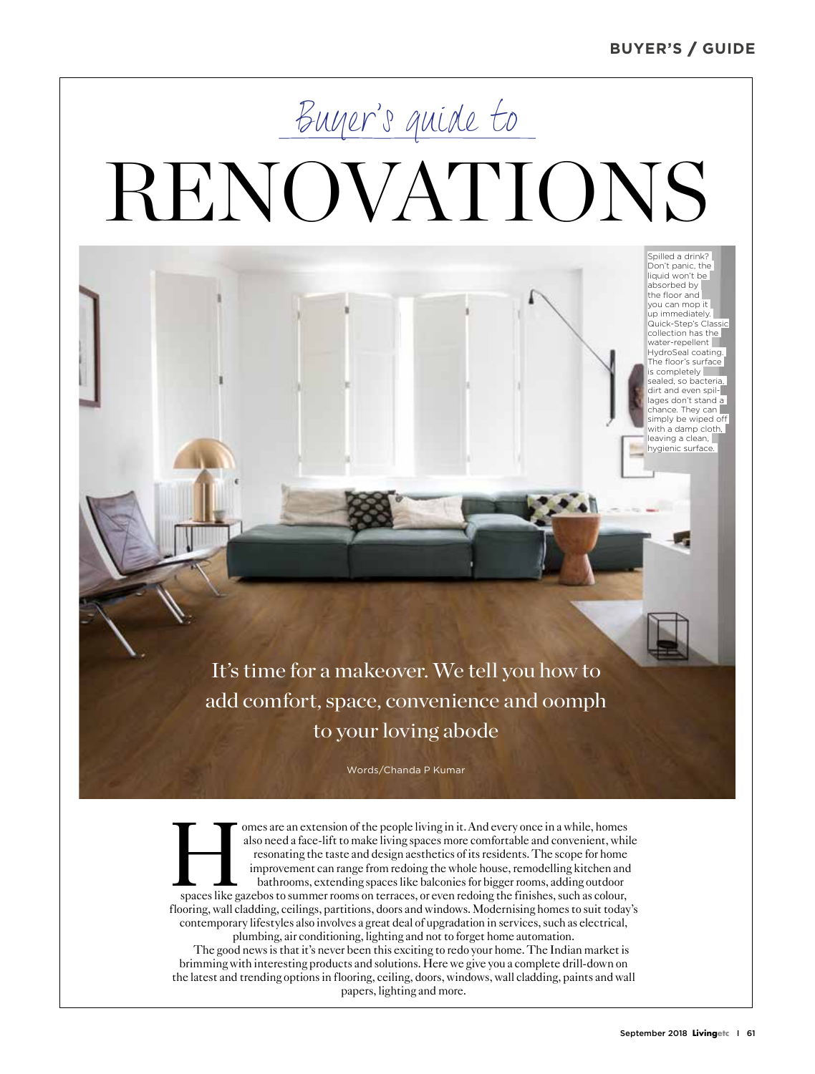#### **BUYER'S / GUIDE**

Spilled a drink? Don't panic, the liquid won't be absorbed by the floor and you can mop it up immediately. Quick-Step's Classic collection has the water-repellent HydroSeal coating. The floor's surface s completely sealed, so bacteria, dirt and even spilages don't stand a chance. They can simply be wiped off with a damp cloth, leaving a clean, hygienic surface.

# Buyer's guide to RENOVATIONS

It's time for a makeover. We tell you how to add comfort, space, convenience and oomph to your loving abode

Words/Chanda P Kumar

omes are an extension of the people living in it. And every once in a while, homes<br>also need a face-lift to make living spaces more comfortable and convenient, while<br>resonating the taste and design aesthetics of its reside also need a face-lift to make living spaces more comfortable and convenient, while resonating the taste and design aesthetics of its residents. The scope for home improvement can range from redoing the whole house, remodelling kitchen and bathrooms, extending spaces like balconies for bigger rooms, adding outdoor flooring, wall cladding, ceilings, partitions, doors and windows. Modernising homes to suit today's contemporary lifestyles also involves a great deal of upgradation in services, such as electrical, plumbing, air conditioning, lighting and not to forget home automation. The good news is that it's never been this exciting to redo your home. The Indian market is brimming with interesting products and solutions. Here we give you a complete drill-down on the latest and trending options in flooring, ceiling, doors, windows, wall cladding, paints and wall

papers, lighting and more.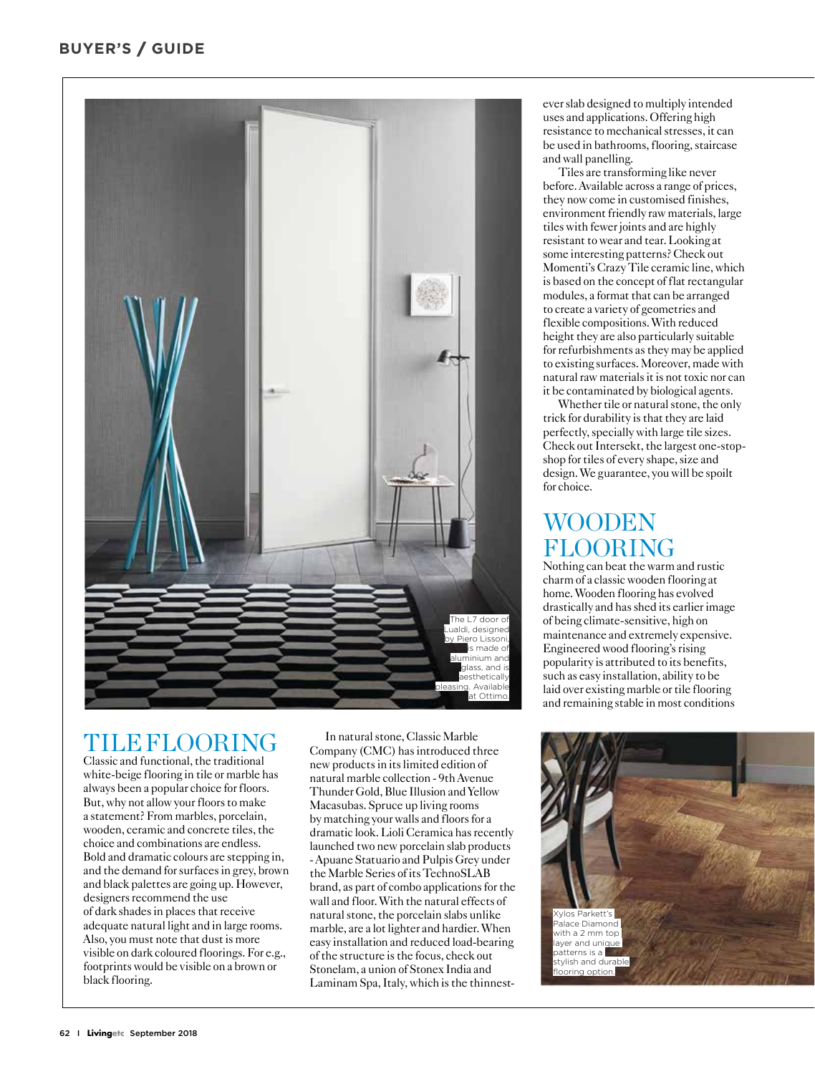

## TILE FLOORING

Classic and functional, the traditional white-beige flooring in tile or marble has always been a popular choice for floors. But, why not allow your floors to make a statement? From marbles, porcelain, wooden, ceramic and concrete tiles, the choice and combinations are endless. Bold and dramatic colours are stepping in, and the demand for surfaces in grey, brown and black palettes are going up. However, designers recommend the use of dark shades in places that receive adequate natural light and in large rooms. Also, you must note that dust is more visible on dark coloured floorings. For e.g., footprints would be visible on a brown or black flooring.

In natural stone, Classic Marble Company (CMC) has introduced three new products in its limited edition of natural marble collection - 9th Avenue Thunder Gold, Blue Illusion and Yellow Macasubas. Spruce up living rooms by matching your walls and floors for a dramatic look. Lioli Ceramica has recently launched two new porcelain slab products - Apuane Statuario and Pulpis Grey under the Marble Series of its TechnoSLAB brand, as part of combo applications for the wall and floor. With the natural effects of natural stone, the porcelain slabs unlike marble, are a lot lighter and hardier. When easy installation and reduced load-bearing of the structure is the focus, check out Stonelam, a union of Stonex India and Laminam Spa, Italy, which is the thinnest-

ever slab designed to multiply intended uses and applications. Offering high resistance to mechanical stresses, it can be used in bathrooms, flooring, staircase and wall panelling.

Tiles are transforming like never before. Available across a range of prices, they now come in customised finishes, environment friendly raw materials, large tiles with fewer joints and are highly resistant to wear and tear. Looking at some interesting patterns? Check out Momenti's Crazy Tile ceramic line, which is based on the concept of flat rectangular modules, a format that can be arranged to create a variety of geometries and flexible compositions. With reduced height they are also particularly suitable for refurbishments as they may be applied to existing surfaces. Moreover, made with natural raw materials it is not toxic nor can it be contaminated by biological agents.

Whether tile or natural stone, the only trick for durability is that they are laid perfectly, specially with large tile sizes. Check out Intersekt, the largest one-stopshop for tiles of every shape, size and design. We guarantee, you will be spoilt for choice.

# WOODEN FLOORING

Nothing can beat the warm and rustic charm of a classic wooden flooring at home. Wooden flooring has evolved drastically and has shed its earlier image of being climate-sensitive, high on maintenance and extremely expensive. Engineered wood flooring's rising popularity is attributed to its benefits, such as easy installation, ability to be laid over existing marble or tile flooring and remaining stable in most conditions

Xylos Parkett's lace Diamond with a 2 mm top aver and unique  $externs$  is a stylish and durable poring option.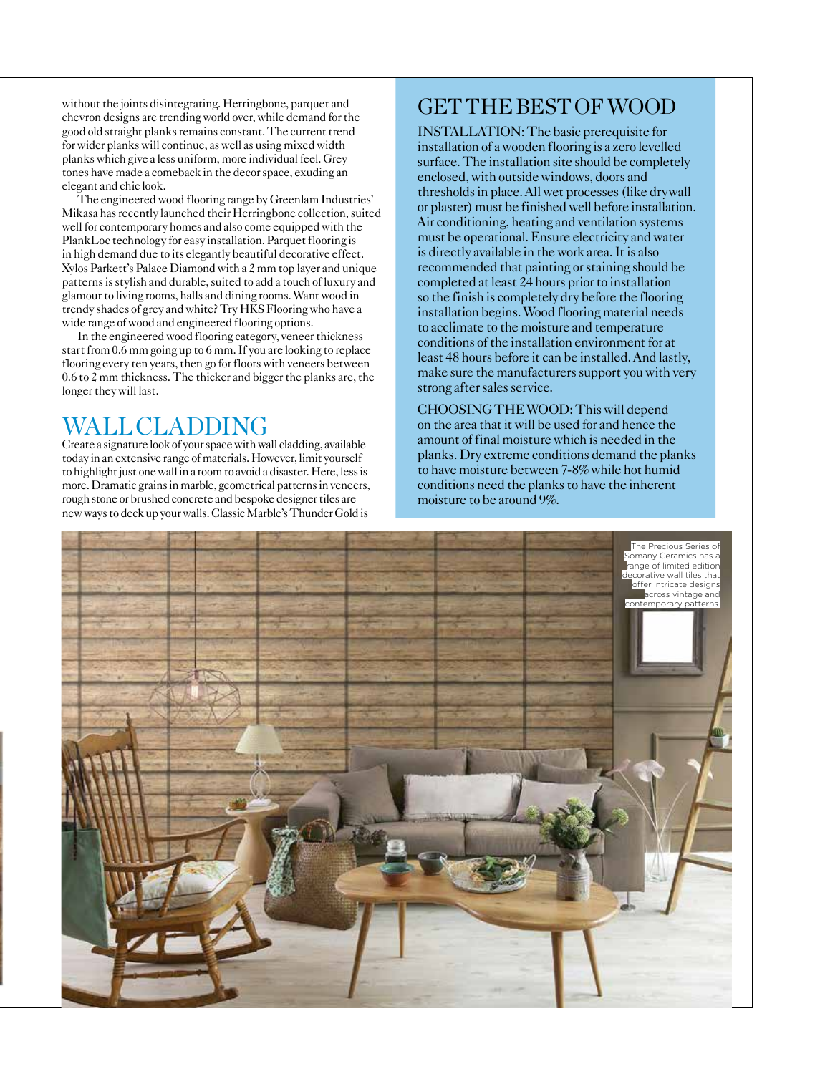without the joints disintegrating. Herringbone, parquet and chevron designs are trending world over, while demand for the good old straight planks remains constant. The current trend for wider planks will continue, as well as using mixed width planks which give a less uniform, more individual feel. Grey tones have made a comeback in the decor space, exuding an elegant and chic look.

The engineered wood flooring range by Greenlam Industries' Mikasa has recently launched their Herringbone collection, suited well for contemporary homes and also come equipped with the PlankLoc technology for easy installation. Parquet flooring is in high demand due to its elegantly beautiful decorative effect. Xylos Parkett's Palace Diamond with a 2 mm top layer and unique patterns is stylish and durable, suited to add a touch of luxury and glamour to living rooms, halls and dining rooms. Want wood in trendy shades of grey and white? Try HKS Flooring who have a wide range of wood and engineered flooring options.

In the engineered wood flooring category, veneer thickness start from 0.6 mm going up to 6 mm. If you are looking to replace flooring every ten years, then go for floors with veneers between 0.6 to 2 mm thickness. The thicker and bigger the planks are, the longer they will last.

## WALL CLADDING

Create a signature look of your space with wall cladding, available today in an extensive range of materials. However, limit yourself to highlight just one wall in a room to avoid a disaster. Here, less is more. Dramatic grains in marble, geometrical patterns in veneers, rough stone or brushed concrete and bespoke designer tiles are new ways to deck up your walls. Classic Marble's Thunder Gold is

## GET THE BEST OF WOOD

INSTALLATION: The basic prerequisite for installation of a wooden flooring is a zero levelled surface. The installation site should be completely enclosed, with outside windows, doors and thresholds in place. All wet processes (like drywall or plaster) must be finished well before installation. Air conditioning, heating and ventilation systems must be operational. Ensure electricity and water is directly available in the work area. It is also recommended that painting or staining should be completed at least 24 hours prior to installation so the finish is completely dry before the flooring installation begins. Wood flooring material needs to acclimate to the moisture and temperature conditions of the installation environment for at least 48 hours before it can be installed. And lastly, make sure the manufacturers support you with very strong after sales service.

CHOOSING THE WOOD: This will depend on the area that it will be used for and hence the amount of final moisture which is needed in the planks. Dry extreme conditions demand the planks to have moisture between 7-8% while hot humid conditions need the planks to have the inherent moisture to be around 9%.

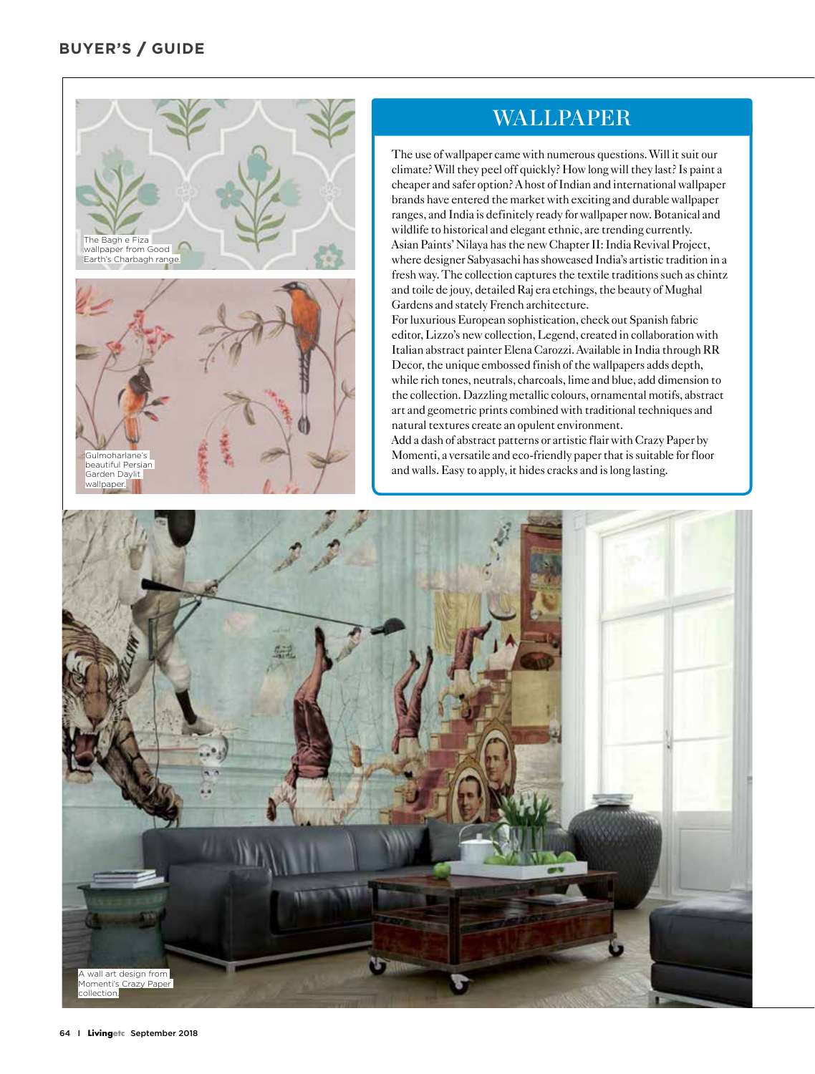

#### WALLPAPER

The use of wallpaper came with numerous questions. Will it suit our climate? Will they peel off quickly? How long will they last? Is paint a cheaper and safer option? A host of Indian and international wallpaper brands have entered the market with exciting and durable wallpaper ranges, and India is definitely ready for wallpaper now. Botanical and wildlife to historical and elegant ethnic, are trending currently. Asian Paints' Nilaya has the new Chapter II: India Revival Project, where designer Sabyasachi has showcased India's artistic tradition in a fresh way. The collection captures the textile traditions such as chintz and toile de jouy, detailed Raj era etchings, the beauty of Mughal Gardens and stately French architecture.

For luxurious European sophistication, check out Spanish fabric editor, Lizzo's new collection, Legend, created in collaboration with Italian abstract painter Elena Carozzi. Available in India through RR Decor, the unique embossed finish of the wallpapers adds depth, while rich tones, neutrals, charcoals, lime and blue, add dimension to the collection. Dazzling metallic colours, ornamental motifs, abstract art and geometric prints combined with traditional techniques and natural textures create an opulent environment.

Add a dash of abstract patterns or artistic flair with Crazy Paper by Momenti, a versatile and eco-friendly paper that is suitable for floor and walls. Easy to apply, it hides cracks and is long lasting.

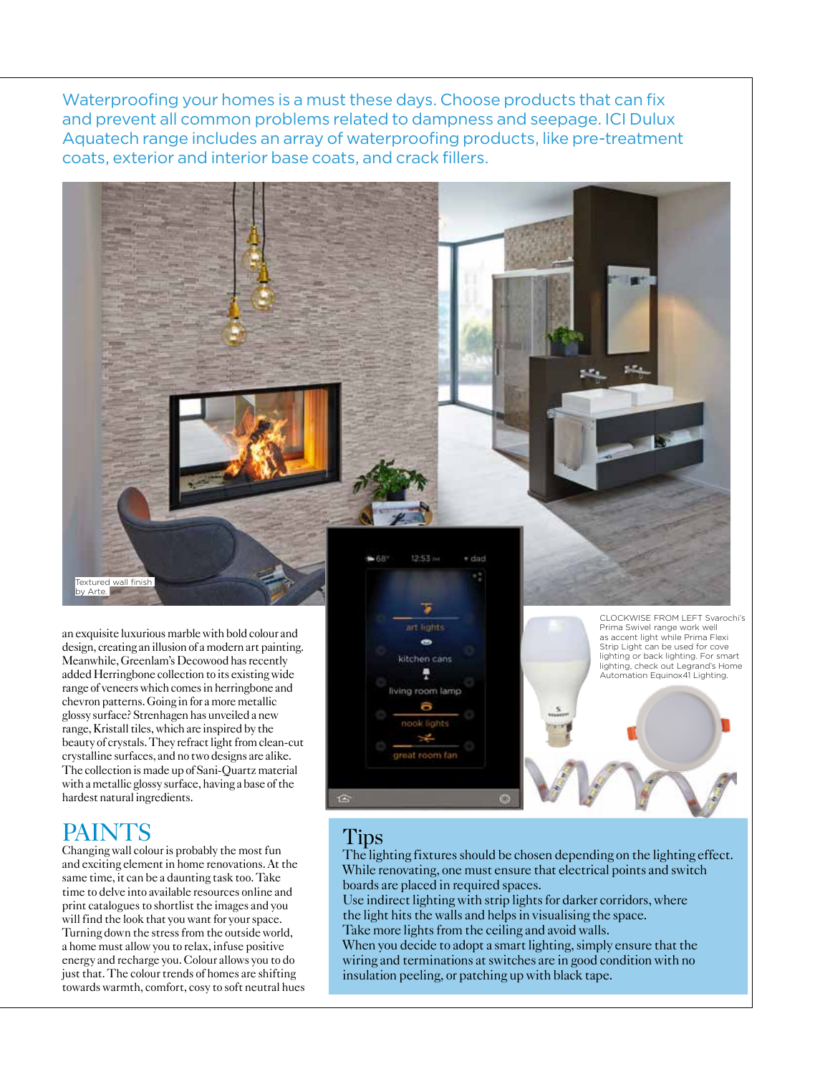Waterproofing your homes is a must these days. Choose products that can fix and prevent all common problems related to dampness and seepage. ICI Dulux Aquatech range includes an array of waterproofing products, like pre-treatment coats, exterior and interior base coats, and crack fillers.

an exquisite luxurious marble with bold colour and design, creating an illusion of a modern art painting. Meanwhile, Greenlam's Decowood has recently added Herringbone collection to its existing wide range of veneers which comes in herringbone and chevron patterns. Going in for a more metallic glossy surface? Strenhagen has unveiled a new range, Kristall tiles, which are inspired by the beauty of crystals. They refract light from clean-cut crystalline surfaces, and no two designs are alike. The collection is made up of Sani-Quartz material with a metallic glossy surface, having a base of the hardest natural ingredients.

## PAINTS

Textured wall finish by Arte.

Changing wall colour is probably the most fun and exciting element in home renovations. At the same time, it can be a daunting task too. Take time to delve into available resources online and print catalogues to shortlist the images and you will find the look that you want for your space. Turning down the stress from the outside world, a home must allow you to relax, infuse positive energy and recharge you. Colour allows you to do just that. The colour trends of homes are shifting towards warmth, comfort, cosy to soft neutral hues



CLOCKWISE FROM LEFT Svarochi's Prima Swivel range work well as accent light while Prima Flexi Strip Light can be used for cove lighting or back lighting. For smart lighting, check out Legrand's Home Automation Equinox41 Lighting.

## Tips

The lighting fixtures should be chosen depending on the lighting effect. While renovating, one must ensure that electrical points and switch boards are placed in required spaces.

Use indirect lighting with strip lights for darker corridors, where the light hits the walls and helps in visualising the space. Take more lights from the ceiling and avoid walls.

When you decide to adopt a smart lighting, simply ensure that the wiring and terminations at switches are in good condition with no insulation peeling, or patching up with black tape.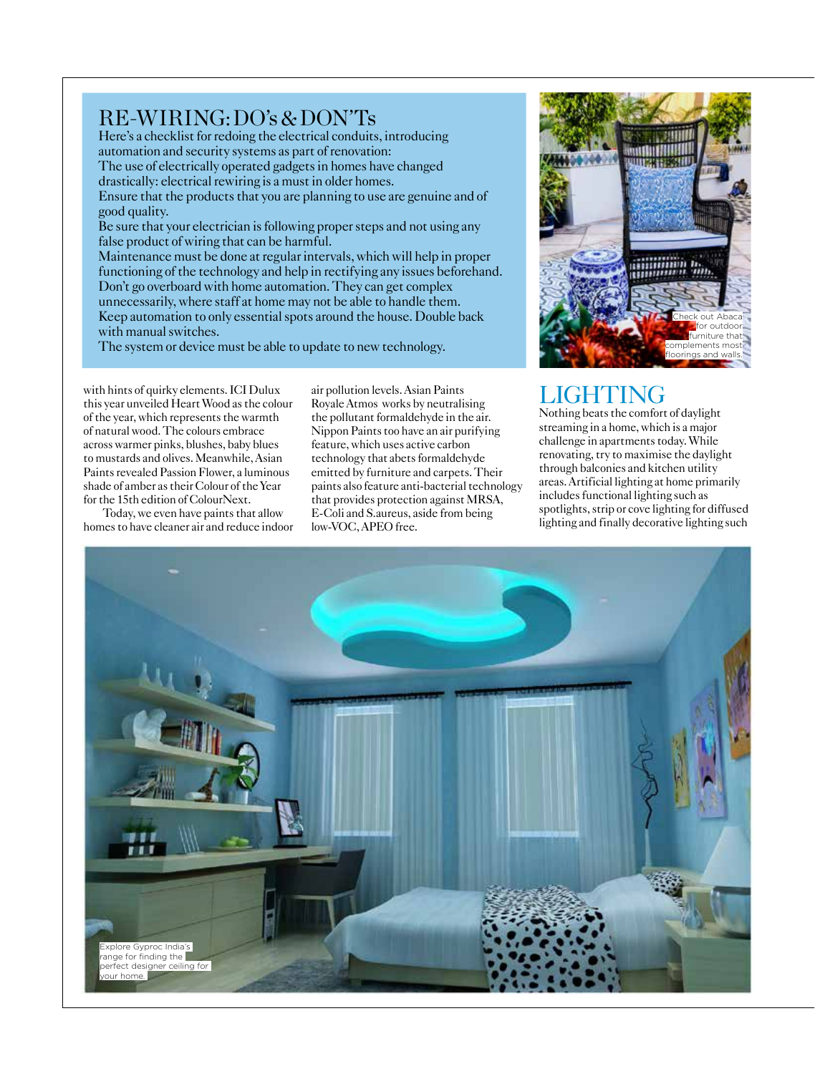#### RE-WIRING: DO's & DON'Ts

Here's a checklist for redoing the electrical conduits, introducing automation and security systems as part of renovation: The use of electrically operated gadgets in homes have changed drastically: electrical rewiring is a must in older homes. Ensure that the products that you are planning to use are genuine and of good quality. Be sure that your electrician is following proper steps and not using any false product of wiring that can be harmful. Maintenance must be done at regular intervals, which will help in proper functioning of the technology and help in rectifying any issues beforehand.

Don't go overboard with home automation. They can get complex unnecessarily, where staff at home may not be able to handle them. Keep automation to only essential spots around the house. Double back with manual switches.

The system or device must be able to update to new technology.

with hints of quirky elements. ICI Dulux this year unveiled Heart Wood as the colour of the year, which represents the warmth of natural wood. The colours embrace across warmer pinks, blushes, baby blues to mustards and olives. Meanwhile, Asian Paints revealed Passion Flower, a luminous shade of amber as their Colour of the Year for the 15th edition of ColourNext.

Today, we even have paints that allow homes to have cleaner air and reduce indoor

air pollution levels. Asian Paints Royale Atmos works by neutralising the pollutant formaldehyde in the air. Nippon Paints too have an air purifying feature, which uses active carbon technology that abets formaldehyde emitted by furniture and carpets. Their paints also feature anti-bacterial technology that provides protection against MRSA, E-Coli and S.aureus, aside from being low-VOC, APEO free.



## LIGHTING

Nothing beats the comfort of daylight streaming in a home, which is a major challenge in apartments today. While renovating, try to maximise the daylight through balconies and kitchen utility areas. Artificial lighting at home primarily includes functional lighting such as spotlights, strip or cove lighting for diffused lighting and finally decorative lighting such

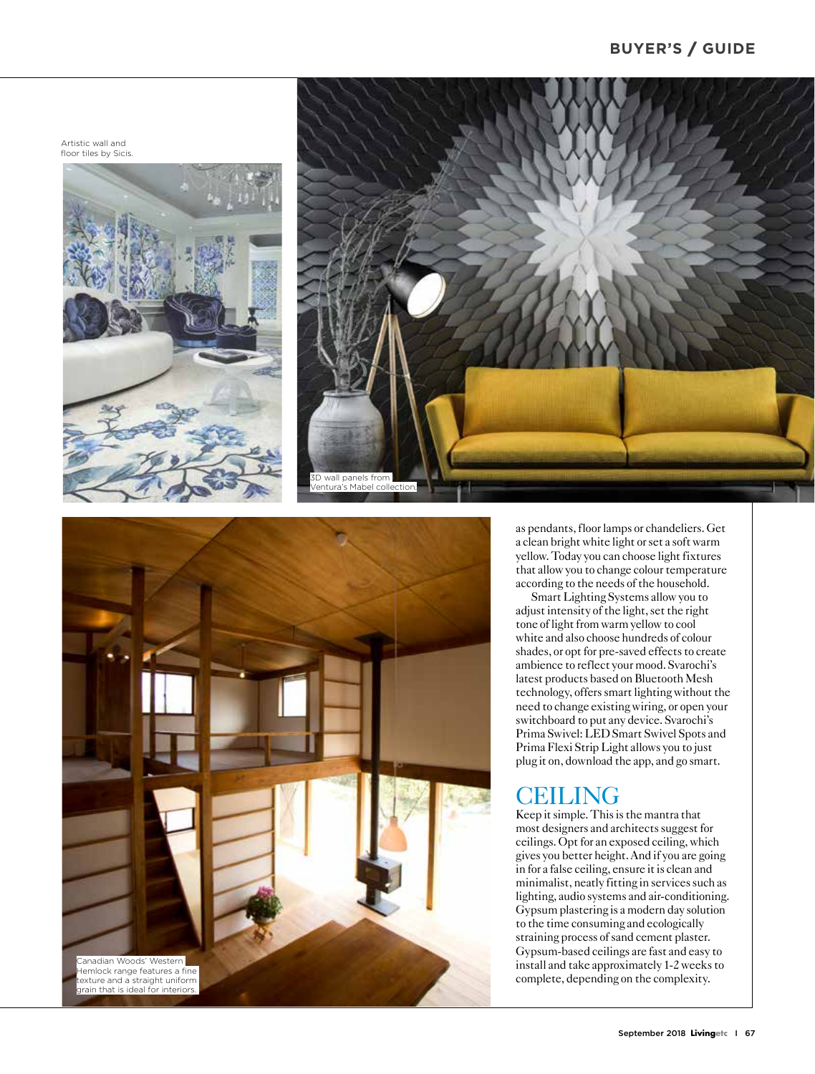Artistic wall and floor tiles by Sicis.







as pendants, floor lamps or chandeliers. Get a clean bright white light or set a soft warm yellow. Today you can choose light fixtures that allow you to change colour temperature according to the needs of the household.

Smart Lighting Systems allow you to adjust intensity of the light, set the right tone of light from warm yellow to cool white and also choose hundreds of colour shades, or opt for pre-saved effects to create ambience to reflect your mood. Svarochi's latest products based on Bluetooth Mesh technology, offers smart lighting without the need to change existing wiring, or open your switchboard to put any device. Svarochi's Prima Swivel: LED Smart Swivel Spots and Prima Flexi Strip Light allows you to just plug it on, download the app, and go smart.

## CEILING

Keep it simple. This is the mantra that most designers and architects suggest for ceilings. Opt for an exposed ceiling, which gives you better height. And if you are going in for a false ceiling, ensure it is clean and minimalist, neatly fitting in services such as lighting, audio systems and air-conditioning. Gypsum plastering is a modern day solution to the time consuming and ecologically straining process of sand cement plaster. Gypsum-based ceilings are fast and easy to install and take approximately 1-2 weeks to complete, depending on the complexity.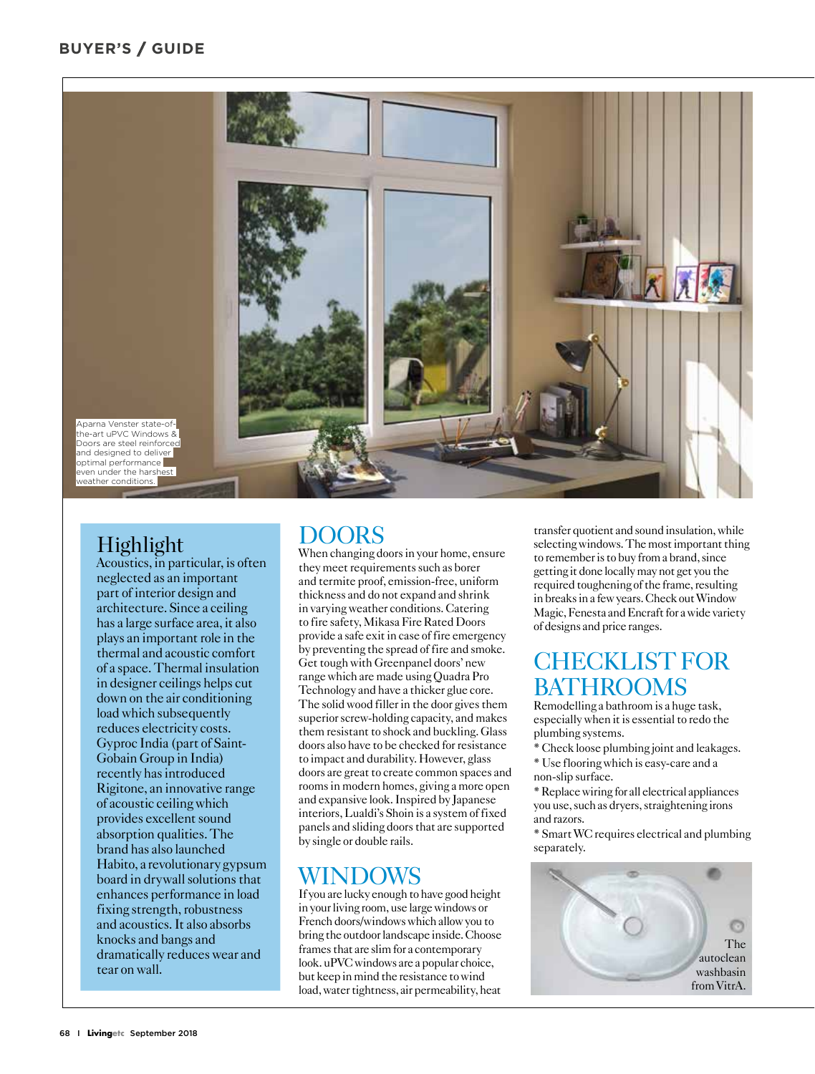#### **BUYER'S / GUIDE**



### Highlight

Acoustics, in particular, is often neglected as an important part of interior design and architecture. Since a ceiling has a large surface area, it also plays an important role in the thermal and acoustic comfort of a space. Thermal insulation in designer ceilings helps cut down on the air conditioning load which subsequently reduces electricity costs. Gyproc India (part of Saint-Gobain Group in India) recently has introduced Rigitone, an innovative range of acoustic ceiling which provides excellent sound absorption qualities. The brand has also launched Habito, a revolutionary gypsum board in drywall solutions that enhances performance in load fixing strength, robustness and acoustics. It also absorbs knocks and bangs and dramatically reduces wear and tear on wall.

#### **DOORS**

When changing doors in your home, ensure they meet requirements such as borer and termite proof, emission-free, uniform thickness and do not expand and shrink in varying weather conditions. Catering to fire safety, Mikasa Fire Rated Doors provide a safe exit in case of fire emergency by preventing the spread of fire and smoke. Get tough with Greenpanel doors' new range which are made using Quadra Pro Technology and have a thicker glue core. The solid wood filler in the door gives them superior screw-holding capacity, and makes them resistant to shock and buckling. Glass doors also have to be checked for resistance to impact and durability. However, glass doors are great to create common spaces and rooms in modern homes, giving a more open and expansive look. Inspired by Japanese interiors, Lualdi's Shoin is a system of fixed panels and sliding doors that are supported by single or double rails.

#### WINDOWS

If you are lucky enough to have good height in your living room, use large windows or French doors/windows which allow you to bring the outdoor landscape inside. Choose frames that are slim for a contemporary look. uPVC windows are a popular choice, but keep in mind the resistance to wind load, water tightness, air permeability, heat

transfer quotient and sound insulation, while selecting windows. The most important thing to remember is to buy from a brand, since getting it done locally may not get you the required toughening of the frame, resulting in breaks in a few years. Check out Window Magic, Fenesta and Encraft for a wide variety of designs and price ranges.

## CHECKLIST FOR **BATHROOMS**

Remodelling a bathroom is a huge task, especially when it is essential to redo the plumbing systems.

- \* Check loose plumbing joint and leakages.
- \* Use flooring which is easy-care and a non-slip surface.

\* Replace wiring for all electrical appliances you use, such as dryers, straightening irons and razors.

\* Smart WC requires electrical and plumbing separately.